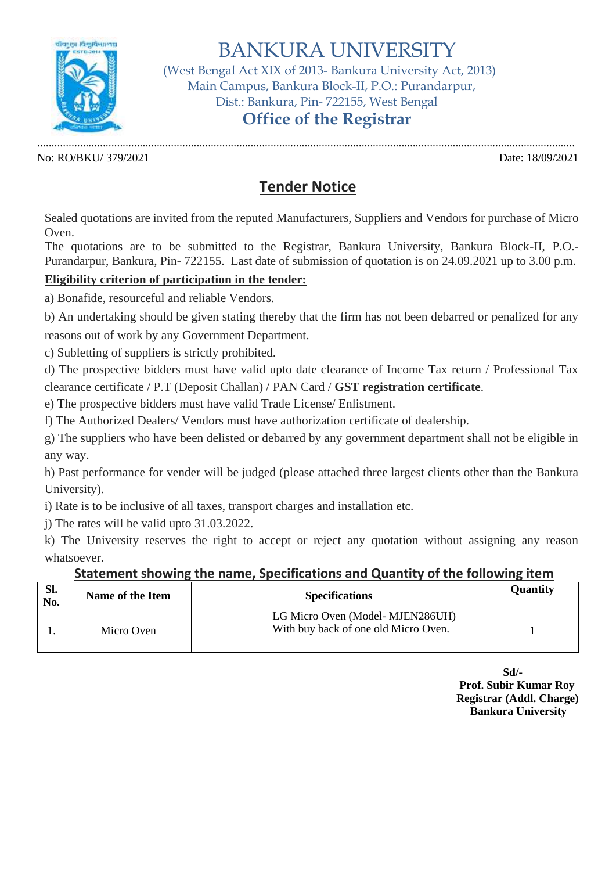

BANKURA UNIVERSITY

 (West Bengal Act XIX of 2013- Bankura University Act, 2013) Main Campus, Bankura Block-II, P.O.: Purandarpur, Dist.: Bankura, Pin- 722155, West Bengal

## **Office of the Registrar**

............................................................................................................................................................................................. No: RO/BKU/ 379/2021 Date: 18/09/2021

## **Tender Notice**

Sealed quotations are invited from the reputed Manufacturers, Suppliers and Vendors for purchase of Micro Oven.

The quotations are to be submitted to the Registrar, Bankura University, Bankura Block-II, P.O.- Purandarpur, Bankura, Pin- 722155. Last date of submission of quotation is on 24.09.2021 up to 3.00 p.m.

## **Eligibility criterion of participation in the tender:**

a) Bonafide, resourceful and reliable Vendors.

b) An undertaking should be given stating thereby that the firm has not been debarred or penalized for any reasons out of work by any Government Department.

c) Subletting of suppliers is strictly prohibited.

d) The prospective bidders must have valid upto date clearance of Income Tax return / Professional Tax clearance certificate / P.T (Deposit Challan) / PAN Card / **GST registration certificate**.

e) The prospective bidders must have valid Trade License/ Enlistment.

f) The Authorized Dealers/ Vendors must have authorization certificate of dealership.

g) The suppliers who have been delisted or debarred by any government department shall not be eligible in any way.

h) Past performance for vender will be judged (please attached three largest clients other than the Bankura University).

i) Rate is to be inclusive of all taxes, transport charges and installation etc.

j) The rates will be valid upto 31.03.2022.

k) The University reserves the right to accept or reject any quotation without assigning any reason whatsoever.

## **Statement showing the name, Specifications and Quantity of the following item**

| SI.<br>No. | Name of the Item | <b>Specifications</b>                                                   | <b>Quantity</b> |
|------------|------------------|-------------------------------------------------------------------------|-----------------|
|            | Micro Oven       | LG Micro Oven (Model-MJEN286UH)<br>With buy back of one old Micro Oven. |                 |

**Sd/- Prof. Subir Kumar Roy Registrar (Addl. Charge) Bankura University**